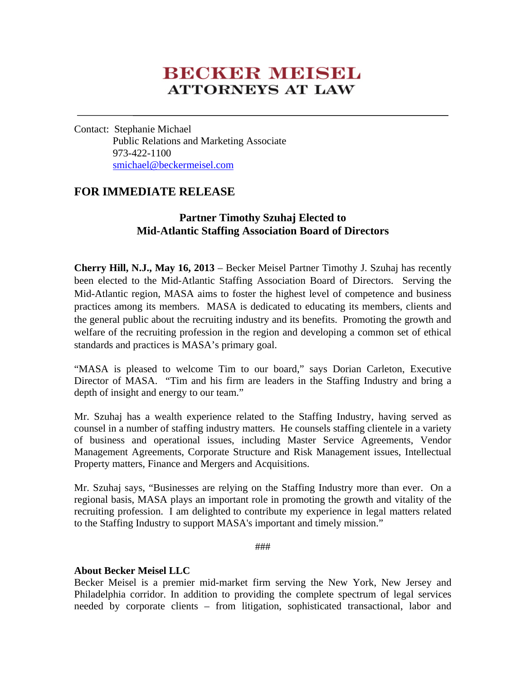## **BECKER MEISEL ATTORNEYS AT LAW**

Contact: Stephanie Michael Public Relations and Marketing Associate 973-422-1100 smichael@beckermeisel.com

## **FOR IMMEDIATE RELEASE**

## **Partner Timothy Szuhaj Elected to Mid-Atlantic Staffing Association Board of Directors**

**Cherry Hill, N.J., May 16, 2013** – Becker Meisel Partner Timothy J. Szuhaj has recently been elected to the Mid-Atlantic Staffing Association Board of Directors. Serving the Mid-Atlantic region, MASA aims to foster the highest level of competence and business practices among its members. MASA is dedicated to educating its members, clients and the general public about the recruiting industry and its benefits. Promoting the growth and welfare of the recruiting profession in the region and developing a common set of ethical standards and practices is MASA's primary goal.

"MASA is pleased to welcome Tim to our board," says Dorian Carleton, Executive Director of MASA. "Tim and his firm are leaders in the Staffing Industry and bring a depth of insight and energy to our team."

Mr. Szuhaj has a wealth experience related to the Staffing Industry, having served as counsel in a number of staffing industry matters. He counsels staffing clientele in a variety of business and operational issues, including Master Service Agreements, Vendor Management Agreements, Corporate Structure and Risk Management issues, Intellectual Property matters, Finance and Mergers and Acquisitions.

Mr. Szuhaj says, "Businesses are relying on the Staffing Industry more than ever. On a regional basis, MASA plays an important role in promoting the growth and vitality of the recruiting profession. I am delighted to contribute my experience in legal matters related to the Staffing Industry to support MASA's important and timely mission."

###

## **About Becker Meisel LLC**

Becker Meisel is a premier mid-market firm serving the New York, New Jersey and Philadelphia corridor. In addition to providing the complete spectrum of legal services needed by corporate clients – from litigation, sophisticated transactional, labor and